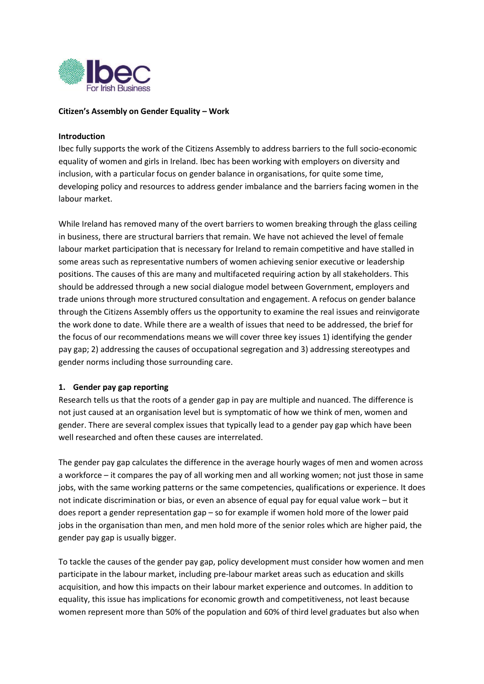

# **Citizen's Assembly on Gender Equality – Work**

# **Introduction**

Ibec fully supports the work of the Citizens Assembly to address barriers to the full socio-economic equality of women and girls in Ireland. Ibec has been working with employers on diversity and inclusion, with a particular focus on gender balance in organisations, for quite some time, developing policy and resources to address gender imbalance and the barriers facing women in the labour market.

While Ireland has removed many of the overt barriers to women breaking through the glass ceiling in business, there are structural barriers that remain. We have not achieved the level of female labour market participation that is necessary for Ireland to remain competitive and have stalled in some areas such as representative numbers of women achieving senior executive or leadership positions. The causes of this are many and multifaceted requiring action by all stakeholders. This should be addressed through a new social dialogue model between Government, employers and trade unions through more structured consultation and engagement. A refocus on gender balance through the Citizens Assembly offers us the opportunity to examine the real issues and reinvigorate the work done to date. While there are a wealth of issues that need to be addressed, the brief for the focus of our recommendations means we will cover three key issues 1) identifying the gender pay gap; 2) addressing the causes of occupational segregation and 3) addressing stereotypes and gender norms including those surrounding care.

## **1. Gender pay gap reporting**

Research tells us that the roots of a gender gap in pay are multiple and nuanced. The difference is not just caused at an organisation level but is symptomatic of how we think of men, women and gender. There are several complex issues that typically lead to a gender pay gap which have been well researched and often these causes are interrelated.

The gender pay gap calculates the difference in the average hourly wages of men and women across a workforce – it compares the pay of all working men and all working women; not just those in same jobs, with the same working patterns or the same competencies, qualifications or experience. It does not indicate discrimination or bias, or even an absence of equal pay for equal value work – but it does report a gender representation gap – so for example if women hold more of the lower paid jobs in the organisation than men, and men hold more of the senior roles which are higher paid, the gender pay gap is usually bigger.

To tackle the causes of the gender pay gap, policy development must consider how women and men participate in the labour market, including pre-labour market areas such as education and skills acquisition, and how this impacts on their labour market experience and outcomes. In addition to equality, this issue has implications for economic growth and competitiveness, not least because women represent more than 50% of the population and 60% of third level graduates but also when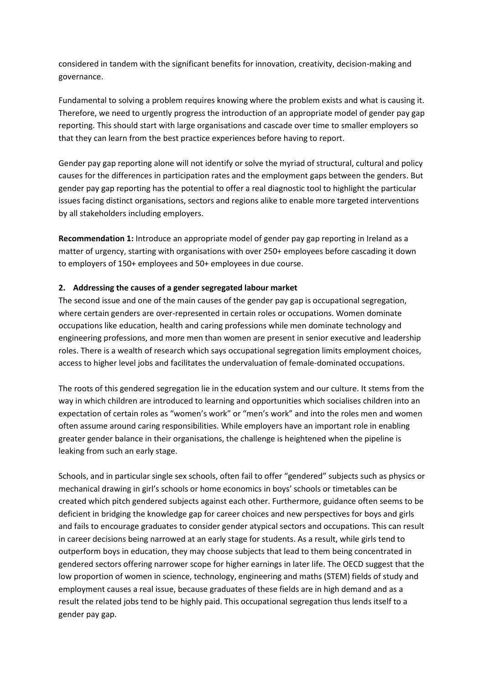considered in tandem with the significant benefits for innovation, creativity, decision-making and governance.

Fundamental to solving a problem requires knowing where the problem exists and what is causing it. Therefore, we need to urgently progress the introduction of an appropriate model of gender pay gap reporting. This should start with large organisations and cascade over time to smaller employers so that they can learn from the best practice experiences before having to report.

Gender pay gap reporting alone will not identify or solve the myriad of structural, cultural and policy causes for the differences in participation rates and the employment gaps between the genders. But gender pay gap reporting has the potential to offer a real diagnostic tool to highlight the particular issues facing distinct organisations, sectors and regions alike to enable more targeted interventions by all stakeholders including employers.

**Recommendation 1:** Introduce an appropriate model of gender pay gap reporting in Ireland as a matter of urgency, starting with organisations with over 250+ employees before cascading it down to employers of 150+ employees and 50+ employees in due course.

# **2. Addressing the causes of a gender segregated labour market**

The second issue and one of the main causes of the gender pay gap is occupational segregation, where certain genders are over-represented in certain roles or occupations. Women dominate occupations like education, health and caring professions while men dominate technology and engineering professions, and more men than women are present in senior executive and leadership roles. There is a wealth of research which says occupational segregation limits employment choices, access to higher level jobs and facilitates the undervaluation of female-dominated occupations.

The roots of this gendered segregation lie in the education system and our culture. It stems from the way in which children are introduced to learning and opportunities which socialises children into an expectation of certain roles as "women's work" or "men's work" and into the roles men and women often assume around caring responsibilities. While employers have an important role in enabling greater gender balance in their organisations, the challenge is heightened when the pipeline is leaking from such an early stage.

Schools, and in particular single sex schools, often fail to offer "gendered" subjects such as physics or mechanical drawing in girl's schools or home economics in boys' schools or timetables can be created which pitch gendered subjects against each other. Furthermore, guidance often seems to be deficient in bridging the knowledge gap for career choices and new perspectives for boys and girls and fails to encourage graduates to consider gender atypical sectors and occupations. This can result in career decisions being narrowed at an early stage for students. As a result, while girls tend to outperform boys in education, they may choose subjects that lead to them being concentrated in gendered sectors offering narrower scope for higher earnings in later life. The OECD suggest that the low proportion of women in science, technology, engineering and maths (STEM) fields of study and employment causes a real issue, because graduates of these fields are in high demand and as a result the related jobs tend to be highly paid. This occupational segregation thus lends itself to a gender pay gap.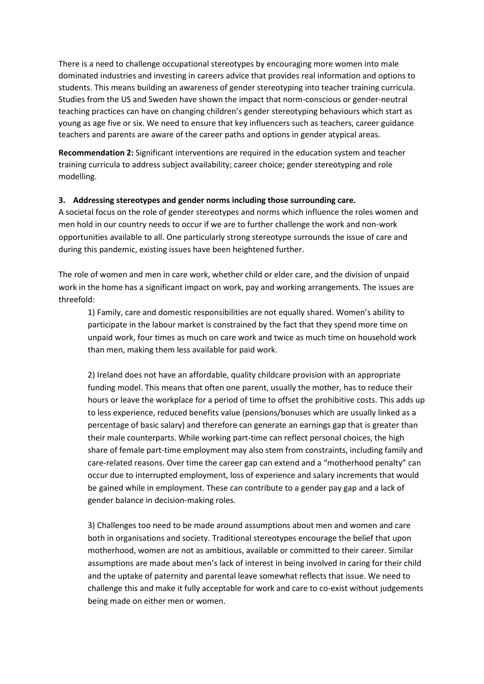There is a need to challenge occupational stereotypes by encouraging more women into male dominated industries and investing in careers advice that provides real information and options to students. This means building an awareness of gender stereotyping into teacher training curricula. Studies from the US and Sweden have shown the impact that norm-conscious or gender-neutral teaching practices can have on changing children's gender stereotyping behaviours which start as young as age five or six. We need to ensure that key influencers such as teachers, career guidance teachers and parents are aware of the career paths and options in gender atypical areas.

**Recommendation 2:** Significant interventions are required in the education system and teacher training curricula to address subject availability; career choice; gender stereotyping and role modelling.

## **3. Addressing stereotypes and gender norms including those surrounding care.**

A societal focus on the role of gender stereotypes and norms which influence the roles women and men hold in our country needs to occur if we are to further challenge the work and non-work opportunities available to all. One particularly strong stereotype surrounds the issue of care and during this pandemic, existing issues have been heightened further.

The role of women and men in care work, whether child or elder care, and the division of unpaid work in the home has a significant impact on work, pay and working arrangements. The issues are threefold:

1) Family, care and domestic responsibilities are not equally shared. Women's ability to participate in the labour market is constrained by the fact that they spend more time on unpaid work, four times as much on care work and twice as much time on household work than men, making them less available for paid work.

2) Ireland does not have an affordable, quality childcare provision with an appropriate funding model. This means that often one parent, usually the mother, has to reduce their hours or leave the workplace for a period of time to offset the prohibitive costs. This adds up to less experience, reduced benefits value (pensions/bonuses which are usually linked as a percentage of basic salary) and therefore can generate an earnings gap that is greater than their male counterparts. While working part-time can reflect personal choices, the high share of female part-time employment may also stem from constraints, including family and care-related reasons. Over time the career gap can extend and a "motherhood penalty" can occur due to interrupted employment, loss of experience and salary increments that would be gained while in employment. These can contribute to a gender pay gap and a lack of gender balance in decision-making roles.

3) Challenges too need to be made around assumptions about men and women and care both in organisations and society. Traditional stereotypes encourage the belief that upon motherhood, women are not as ambitious, available or committed to their career. Similar assumptions are made about men's lack of interest in being involved in caring for their child and the uptake of paternity and parental leave somewhat reflects that issue. We need to challenge this and make it fully acceptable for work and care to co-exist without judgements being made on either men or women.